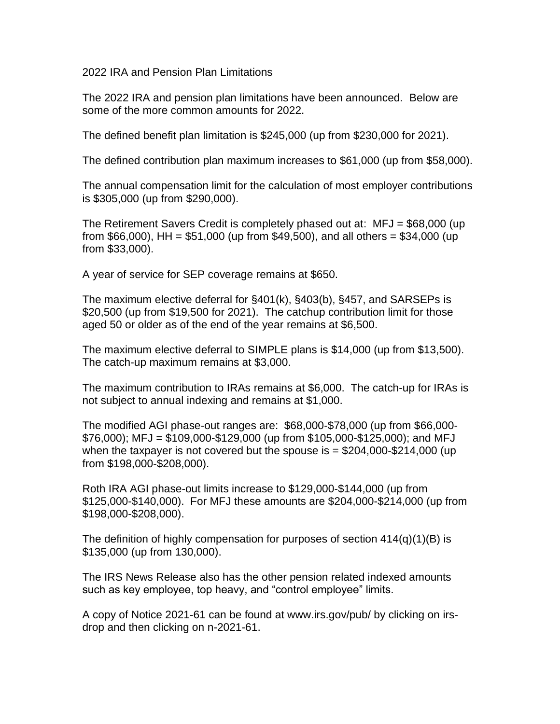2022 IRA and Pension Plan Limitations

The 2022 IRA and pension plan limitations have been announced. Below are some of the more common amounts for 2022.

The defined benefit plan limitation is \$245,000 (up from \$230,000 for 2021).

The defined contribution plan maximum increases to \$61,000 (up from \$58,000).

The annual compensation limit for the calculation of most employer contributions is \$305,000 (up from \$290,000).

The Retirement Savers Credit is completely phased out at: MFJ = \$68,000 (up from \$66,000), HH = \$51,000 (up from \$49,500), and all others = \$34,000 (up from \$33,000).

A year of service for SEP coverage remains at \$650.

The maximum elective deferral for §401(k), §403(b), §457, and SARSEPs is \$20,500 (up from \$19,500 for 2021). The catchup contribution limit for those aged 50 or older as of the end of the year remains at \$6,500.

The maximum elective deferral to SIMPLE plans is \$14,000 (up from \$13,500). The catch-up maximum remains at \$3,000.

The maximum contribution to IRAs remains at \$6,000. The catch-up for IRAs is not subject to annual indexing and remains at \$1,000.

The modified AGI phase-out ranges are: \$68,000-\$78,000 (up from \$66,000-  $$76,000$ ; MFJ = \$109,000-\$129,000 (up from \$105,000-\$125,000); and MFJ when the taxpayer is not covered but the spouse is  $= $204,000$ -\$214,000 (up from \$198,000-\$208,000).

Roth IRA AGI phase-out limits increase to \$129,000-\$144,000 (up from \$125,000-\$140,000). For MFJ these amounts are \$204,000-\$214,000 (up from \$198,000-\$208,000).

The definition of highly compensation for purposes of section  $414(q)(1)(B)$  is \$135,000 (up from 130,000).

The IRS News Release also has the other pension related indexed amounts such as key employee, top heavy, and "control employee" limits.

A copy of Notice 2021-61 can be found at www.irs.gov/pub/ by clicking on irsdrop and then clicking on n-2021-61.